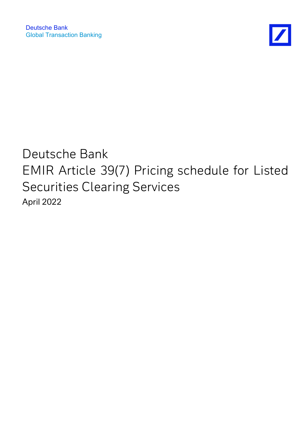

## Deutsche Bank EMIR Article 39(7) Pricing schedule for Listed Securities Clearing Services April 2022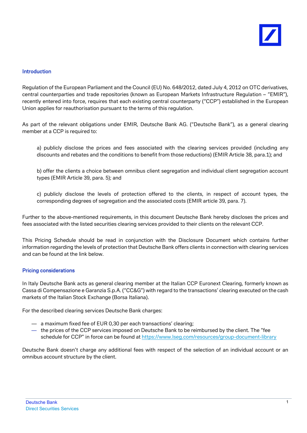## Introduction

Regulation of the European Parliament and the Council (EU) No. 648/2012, dated July 4, 2012 on OTC derivatives, central counterparties and trade repositories (known as European Markets Infrastructure Regulation – "EMIR"), recently entered into force, requires that each existing central counterparty ("CCP") established in the European Union applies for reauthorisation pursuant to the terms of this regulation.

As part of the relevant obligations under EMIR, Deutsche Bank AG. ("Deutsche Bank"), as a general clearing member at a CCP is required to:

a) publicly disclose the prices and fees associated with the clearing services provided (including any discounts and rebates and the conditions to benefit from those reductions) (EMIR Article 38, para.1); and

b) offer the clients a choice between omnibus client segregation and individual client segregation account types (EMIR Article 39, para. 5); and

c) publicly disclose the levels of protection offered to the clients, in respect of account types, the corresponding degrees of segregation and the associated costs (EMIR article 39, para. 7).

Further to the above-mentioned requirements, in this document Deutsche Bank hereby discloses the prices and fees associated with the listed securities clearing services provided to their clients on the relevant CCP.

This Pricing Schedule should be read in conjunction with the Disclosure Document which contains further information regarding the levels of protection that Deutsche Bank offers clients in connection with clearing services and can be found at the link below.

## Pricing considerations

In Italy Deutsche Bank acts as general clearing member at the Italian CCP Euronext Clearing, formerly known as Cassa di Compensazione e Garanzia S.p.A. ("CC&G") with regard to the transactions' clearing executed on the cash markets of the Italian Stock Exchange (Borsa Italiana).

For the described clearing services Deutsche Bank charges:

- a maximum fixed fee of EUR 0,30 per each transactions' clearing;
- the prices of the CCP services imposed on Deutsche Bank to be reimbursed by the client. The "fee schedule for CCP" in force can be found at<https://www.lseg.com/resources/group-document-library>

Deutsche Bank doesn't charge any additional fees with respect of the selection of an individual account or an omnibus account structure by the client.